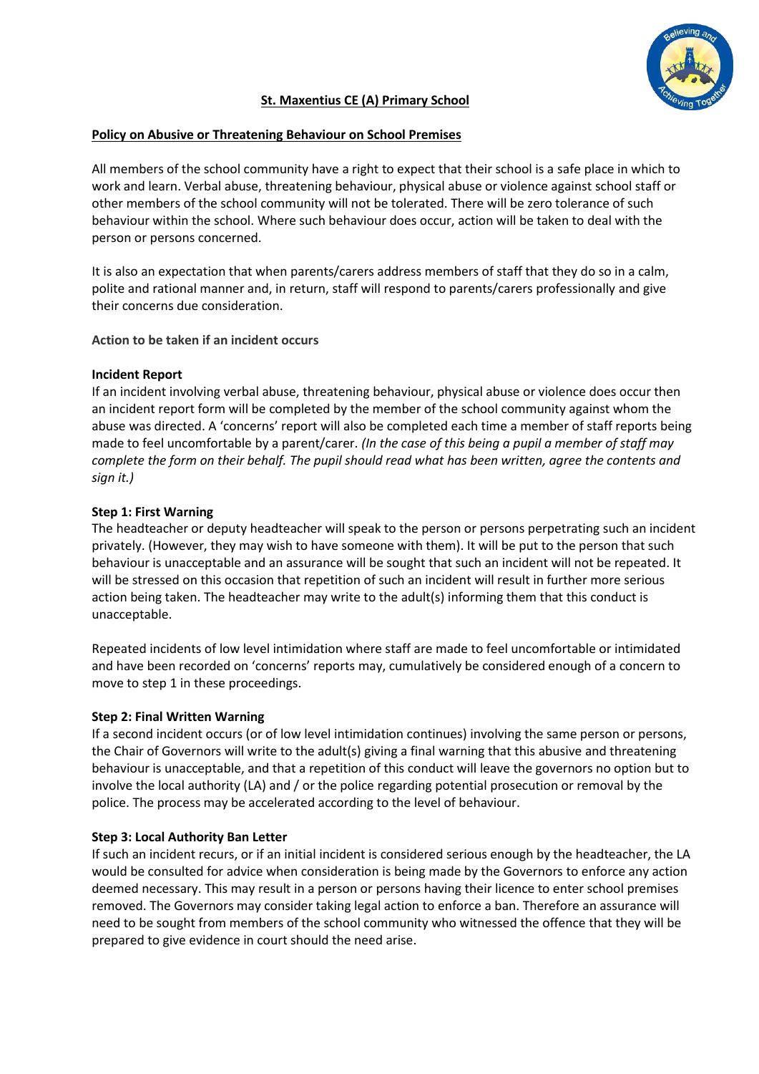

# **St. Maxentius CE (A) Primary School**

#### **Policy on Abusive or Threatening Behaviour on School Premises**

All members of the school community have a right to expect that their school is a safe place in which to work and learn. Verbal abuse, threatening behaviour, physical abuse or violence against school staff or other members of the school community will not be tolerated. There will be zero tolerance of such behaviour within the school. Where such behaviour does occur, action will be taken to deal with the person or persons concerned.

It is also an expectation that when parents/carers address members of staff that they do so in a calm, polite and rational manner and, in return, staff will respond to parents/carers professionally and give their concerns due consideration.

## **Action to be taken if an incident occurs**

## **Incident Report**

If an incident involving verbal abuse, threatening behaviour, physical abuse or violence does occur then an incident report form will be completed by the member of the school community against whom the abuse was directed. A 'concerns' report will also be completed each time a member of staff reports being made to feel uncomfortable by a parent/carer. *(In the case of this being a pupil a member of staff may complete the form on their behalf. The pupil should read what has been written, agree the contents and sign it.)*

## **Step 1: First Warning**

The headteacher or deputy headteacher will speak to the person or persons perpetrating such an incident privately. (However, they may wish to have someone with them). It will be put to the person that such behaviour is unacceptable and an assurance will be sought that such an incident will not be repeated. It will be stressed on this occasion that repetition of such an incident will result in further more serious action being taken. The headteacher may write to the adult(s) informing them that this conduct is unacceptable.

Repeated incidents of low level intimidation where staff are made to feel uncomfortable or intimidated and have been recorded on 'concerns' reports may, cumulatively be considered enough of a concern to move to step 1 in these proceedings.

#### **Step 2: Final Written Warning**

If a second incident occurs (or of low level intimidation continues) involving the same person or persons, the Chair of Governors will write to the adult(s) giving a final warning that this abusive and threatening behaviour is unacceptable, and that a repetition of this conduct will leave the governors no option but to involve the local authority (LA) and / or the police regarding potential prosecution or removal by the police. The process may be accelerated according to the level of behaviour.

## **Step 3: Local Authority Ban Letter**

If such an incident recurs, or if an initial incident is considered serious enough by the headteacher, the LA would be consulted for advice when consideration is being made by the Governors to enforce any action deemed necessary. This may result in a person or persons having their licence to enter school premises removed. The Governors may consider taking legal action to enforce a ban. Therefore an assurance will need to be sought from members of the school community who witnessed the offence that they will be prepared to give evidence in court should the need arise.